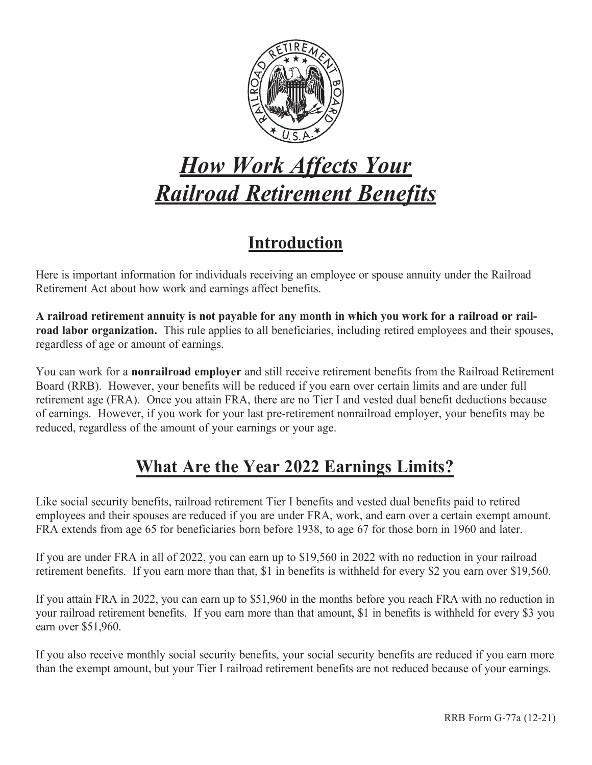

# *How Work Affects Your Railroad Retirement Benefits*

# **Introduction**

Here is important information for individuals receiving an employee or spouse annuity under the Railroad Retirement Act about how work and earnings affect benefits.

**A railroad retirement annuity is not payable for any month in which you work for a railroad or railroad labor organization.** This rule applies to all beneficiaries, including retired employees and their spouses, regardless of age or amount of earnings.

You can work for a **nonrailroad employer** and still receive retirement benefits from the Railroad Retirement Board (RRB). However, your benefits will be reduced if you earn over certain limits and are under full retirement age (FRA). Once you attain FRA, there are no Tier I and vested dual benefit deductions because of earnings. However, if you work for your last pre-retirement nonrailroad employer, your benefits may be reduced, regardless of the amount of your earnings or your age.

## **What Are the Year 2022 Earnings Limits?**

Like social security benefits, railroad retirement Tier I benefits and vested dual benefits paid to retired employees and their spouses are reduced if you are under FRA, work, and earn over a certain exempt amount. FRA extends from age 65 for beneficiaries born before 1938, to age 67 for those born in 1960 and later.

If you are under FRA in all of 2022, you can earn up to \$19,560 in 2022 with no reduction in your railroad retirement benefits. If you earn more than that, \$1 in benefits is withheld for every \$2 you earn over \$19,560.

If you attain FRA in 2022, you can earn up to \$51,960 in the months before you reach FRA with no reduction in your railroad retirement benefits. If you earn more than that amount, \$1 in benefits is withheld for every \$3 you earn over \$51,960.

If you also receive monthly social security benefits, your social security benefits are reduced if you earn more than the exempt amount, but your Tier I railroad retirement benefits are not reduced because of your earnings.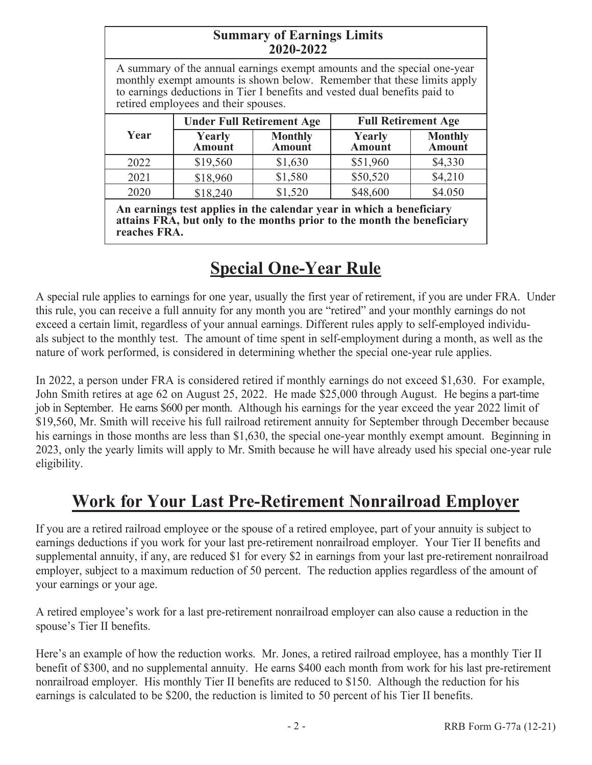| <b>Summary of Earnings Limits</b><br>2020-2022                                                                                                                                                                                                                            |                                  |                          |                            |                          |
|---------------------------------------------------------------------------------------------------------------------------------------------------------------------------------------------------------------------------------------------------------------------------|----------------------------------|--------------------------|----------------------------|--------------------------|
| A summary of the annual earnings exempt amounts and the special one-year<br>monthly exempt amounts is shown below. Remember that these limits apply<br>to earnings deductions in Tier I benefits and vested dual benefits paid to<br>retired employees and their spouses. |                                  |                          |                            |                          |
| Year                                                                                                                                                                                                                                                                      | <b>Under Full Retirement Age</b> |                          | <b>Full Retirement Age</b> |                          |
|                                                                                                                                                                                                                                                                           | Yearly<br>Amount                 | <b>Monthly</b><br>Amount | Yearly<br>Amount           | <b>Monthly</b><br>Amount |
| 2022                                                                                                                                                                                                                                                                      | \$19,560                         | \$1,630                  | \$51,960                   | \$4,330                  |
| 2021                                                                                                                                                                                                                                                                      | \$18,960                         | \$1,580                  | \$50,520                   | \$4,210                  |
| 2020                                                                                                                                                                                                                                                                      | \$18,240                         | \$1,520                  | \$48,600                   | \$4.050                  |
| An earnings test applies in the calendar year in which a beneficiary<br>attains FRA, but only to the months prior to the month the beneficiary<br>reaches FRA.                                                                                                            |                                  |                          |                            |                          |

# **Special One-Year Rule**

A special rule applies to earnings for one year, usually the first year of retirement, if you are under FRA. Under this rule, you can receive a full annuity for any month you are "retired" and your monthly earnings do not exceed a certain limit, regardless of your annual earnings. Different rules apply to self-employed individuals subject to the monthly test. The amount of time spent in self-employment during a month, as well as the nature of work performed, is considered in determining whether the special one-year rule applies.

In 2022, a person under FRA is considered retired if monthly earnings do not exceed \$1,630. For example, John Smith retires at age 62 on August 25, 2022. He made \$25,000 through August. He begins a part-time job in September. He earns \$600 per month. Although his earnings for the year exceed the year 2022 limit of \$19,560, Mr. Smith will receive his full railroad retirement annuity for September through December because his earnings in those months are less than \$1,630, the special one-year monthly exempt amount. Beginning in 2023, only the yearly limits will apply to Mr. Smith because he will have already used his special one-year rule eligibility.

### **Work for Your Last Pre-Retirement Nonrailroad Employer**

If you are a retired railroad employee or the spouse of a retired employee, part of your annuity is subject to earnings deductions if you work for your last pre-retirement nonrailroad employer. Your Tier II benefits and supplemental annuity, if any, are reduced \$1 for every \$2 in earnings from your last pre-retirement nonrailroad employer, subject to a maximum reduction of 50 percent. The reduction applies regardless of the amount of your earnings or your age.

A retired employee's work for a last pre-retirement nonrailroad employer can also cause a reduction in the spouse's Tier II benefits.

Here's an example of how the reduction works. Mr. Jones, a retired railroad employee, has a monthly Tier II benefit of \$300, and no supplemental annuity. He earns \$400 each month from work for his last pre-retirement nonrailroad employer. His monthly Tier II benefits are reduced to \$150. Although the reduction for his earnings is calculated to be \$200, the reduction is limited to 50 percent of his Tier II benefits.